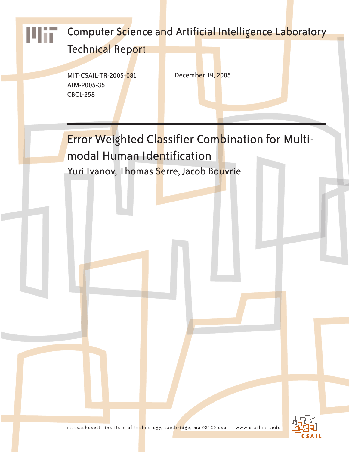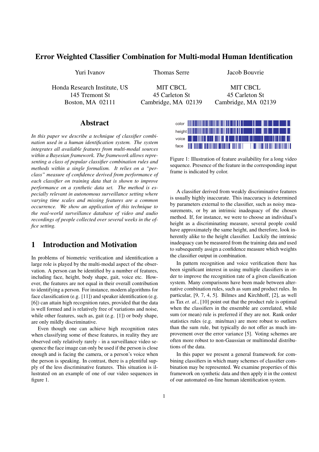## Error Weighted Classifier Combination for Multi-modal Human Identification

Honda Research Institute, US MIT CBCL MIT CBCL

Yuri Ivanov Thomas Serre Jacob Bouvrie

145 Tremont St 45 Carleton St 45 Carleton St 45 Carleton St

Boston, MA 02111 Cambridge, MA 02139 Cambridge, MA 02139

### Abstract

*In this paper we describe a technique of classifier combination used in a human identification system. The system integrates all available features from multi-modal sources within a Bayesian framework. The framework allows representing a class of popular classifier combination rules and methods within a single formalism. It relies on a "perclass" measure of confidence derived from performance of each classifier on training data that is shown to improve performance on a synthetic data set. The method is especially relevant in autonomous surveillance setting where varying time scales and missing features are a common occurrence. We show an application of this technique to the real-world surveillance database of video and audio recordings of people collected over several weeks in the office setting.*

### 1 Introduction and Motivation

In problems of biometric verification and identification a large role is played by the multi-modal aspect of the observation. A person can be identified by a number of features, including face, height, body shape, gait, voice etc. However, the features are not equal in their overall contribution to identifying a person. For instance, modern algorithms for face classification (e.g. [11]) and speaker identification (e.g. [6]) can attain high recognition rates, provided that the data is well formed and is relatively free of variations and noise, while other features, such as, gait (e.g. [1]) or body shape, are only mildly discriminative.

Even though one can achieve high recognition rates when classifying some of these features, in reality they are observed only relatively rarely - in a surveillance video sequence the face image can only be used if the person is close enough and is facing the camera, or a person's voice when the person is speaking. In contrast, there is a plentiful supply of the less discriminative features. This situation is illustrated on an example of one of our video sequences in figure 1.



Figure 1: Illustration of feature availability for a long video sequence. Presence of the feature in the corresponding input frame is indicated by color.

A classifier derived from weakly discriminative features is usually highly inaccurate. This inaccuracy is determined by parameters external to the classifier, such as noisy measurements, or by an intrinsic inadequacy of the chosen method. If, for instance, we were to choose an individual's height as a discriminating measure, several people could have approximately the same height, and therefore, look inherently alike to the height classifier. Luckily the intrinsic inadequacy can be measured from the training data and used to subsequently assign a confidence measure which weights the classifier output in combination.

In pattern recognition and voice verification there has been significant interest in using multiple classifiers in order to improve the recognition rate of a given classification system. Many comparisons have been made between alternative combination rules, such as sum and product rules. In particular, [9, 7, 4, 5]. Bilmes and Kirchhoff, [2], as well as Tax *et. al.*, [10] point out that the product rule is optimal when the classifiers in the ensemble are correlated, while sum (or mean) rule is preferred if they are not. Rank order statistics rules (e.g. min/max) are more robust to outliers than the sum rule, but typically do not offer as much improvement over the error variance [5]. Voting schemes are often more robust to non-Gaussian or multimodal distributions of the data.

In this paper we present a general framework for combining classifiers in which many schemes of classifier combination may be represented. We examine properties of this framework on synthetic data and then apply it in the context of our automated on-line human identification system.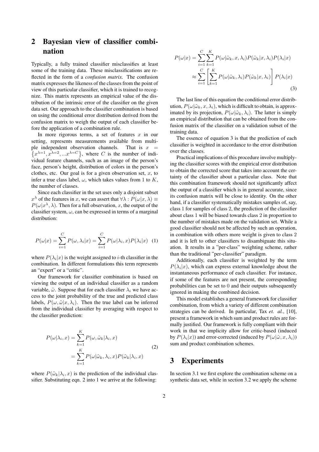# 2 Bayesian view of classifier combination

Typically, a fully trained classifier misclassifies at least some of the training data. These misclassifications are reflected in the form of a *confusion matrix*. The confusion matrix expresses the likeness of the classes from the point of view of this particular classifier, which it is trained to recognize. This matrix represents an empirical value of the distribution of the intrinsic error of the classifier on the given data set. Our approach to the classifier combination is based on using the conditional error distribution derived from the confusion matrix to weigh the output of each classifier before the application of a combination rule.

In more rigorous terms, a set of features  $x$  in our setting, represents measurements available from multiple independent observation channels. That is  $x =$  $x^{\lambda=1}, x^{\lambda=2},...x^{\lambda=C}$ , where C is the number of individual feature channels, such as an image of the person's face, person's height, distribution of colors in the person's clothes, etc. Our goal is for a given observation set,  $x$ , to infer a true class label,  $\omega$ , which takes values from 1 to K, the number of classes.

Since each classifier in the set uses only a disjoint subset  $x^{\lambda}$  of the features in x, we can assert that  $\forall \lambda : P(\omega | x, \lambda) \equiv$  $P(\omega|x^{\lambda}, \lambda)$ . Then for a full observation, x, the output of the classifier system,  $\omega$ , can be expressed in terms of a marginal distribution:

$$
P(\omega|x) = \sum_{i=1}^{C} P(\omega, \lambda_i|x) = \sum_{i=1}^{C} P(\omega|\lambda_i, x) P(\lambda_i|x)
$$
 (1)

where  $P(\lambda_i|x)$  is the weight assigned to *i*-th classifier in the combination. In different formulations this term represents an "expert" or a "critic".

Our framework for classifier combination is based on viewing the output of an individual classifier as a random variable,  $\tilde{\omega}$ . Suppose that for each classifier  $\lambda_i$  we have access to the joint probability of the true and predicted class labels,  $P(\omega, \tilde{\omega}|x, \lambda_i)$ . Then the true label can be inferred from the individual classifier by averaging with respect to the classifier prediction:

$$
P(\omega|\lambda_i, x) = \sum_{k=1}^{K} P(\omega, \tilde{\omega}_k | \lambda_i, x)
$$
  
= 
$$
\sum_{k=1}^{K} P(\omega | \tilde{\omega}_k, \lambda_i, x) P(\tilde{\omega}_k | \lambda_i, x)
$$
 (2)

where  $P(\tilde{\omega}_k|\lambda_i, x)$  is the prediction of the individual classifier. Substituting eqn. 2 into 1 we arrive at the following:

$$
P(\omega|x) = \sum_{i=1}^{C} \sum_{k=1}^{K} P(\omega|\tilde{\omega}_k, x, \lambda_i) P(\tilde{\omega}_k|x, \lambda_i) P(\lambda_i|x)
$$

$$
\approx \sum_{i=1}^{C} \left[ \sum_{k=1}^{K} P(\omega|\tilde{\omega}_k, \lambda_i) P(\tilde{\omega}_k|x, \lambda_i) \right] P(\lambda_i|x)
$$
(3)

The last line of this equation the conditional error distribution,  $P(\omega|\tilde{\omega}_k, x, \lambda_i)$ , which is difficult to obtain, is approximated by its projection,  $P(\omega|\tilde{\omega}_k, \lambda_i)$ . The latter is simply an empirical distribution that can be obtained from the confusion matrix of the classifier on a validation subset of the training data.

The essence of equation 3 is that the prediction of each classifier is weighted in accordance to the error distribution over the classes.

Practical implications of this procedure involve multiplying the classifier scores with the empirical error distribution to obtain the corrected score that takes into account the certainty of the classifier about a particular class. Note that this combination framework should not significantly affect the output of a classifier which is in general accurate, since its confusion matrix will be close to identity. On the other hand, if a classifier systematically mistakes samples of, say, class 1 for samples of class 2, the prediction of the classifier about class 1 will be biased towards class 2 in proportion to the number of mistakes made on the validation set. While a good classifier should not be affected by such an operation, in combination with others more weight is given to class 2 and it is left to other classifiers to disambiguate this situation. It results in a "per-class" weighting scheme, rather than the traditional "per-classifier" paradigm.

Additionally, each classifier is weighted by the term  $P(\lambda_i|x)$ , which can express external knowledge about the instantaneous performance of each classifier. For instance, if some of the features are not present, the corresponding probabilities can be set to 0 and their outputs subsequently ignored in making the combined decision.

This model establishes a general framework for classifier combination, from which a variety of different combination strategies can be derived. In particular, Tax *et. al.*, [10], present a framework in which sum and product rules are formally justified. Our framework is fully compliant with their work in that we implicity allow for critic-based (induced by  $P(\lambda_i|x)$ ) and error-corrected (induced by  $P(\omega|\tilde{\omega},x,\lambda_i)$ ) sum and product combination schemes.

### 3 Experiments

In section 3.1 we first explore the combination scheme on a synthetic data set, while in section 3.2 we apply the scheme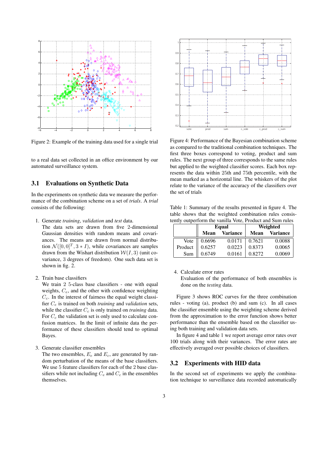

Figure 2: Example of the training data used for a single trial

to a real data set collected in an office environment by our automated surveillance system.

#### 3.1 Evaluations on Synthetic Data

In the experiments on synthetic data we measure the performance of the combination scheme on a set of *trials*. A *trial* consists of the following:

1. Generate *training*, *validation* and *test* data.

The data sets are drawn from five 2-dimensional Gaussian densities with random means and covariances. The means are drawn from normal distribution  $\mathcal{N}([0,0]^T, 3 * I)$ , while covariances are samples drawn from the Wishart distribution  $W(I, 3)$  (unit covariance, 3 degrees of freedom). One such data set is shown in fig. 2.

2. Train base classifiers

We train 2 5-class base classifiers - one with equal weights,  $C_e$ , and the other with confidence weighting  $C_c$ . In the interest of fairness the equal weight classifier C<sup>e</sup> is trained on both *training* and *validation* sets, while the classifier  $C_c$  is only trained on *training* data. For  $C_c$  the validation set is only used to calculate confusion matrices. In the limit of infinite data the performance of these classifiers should tend to optimal Bayes.

3. Generate classifier ensembles

The two ensembles,  $E_e$  and  $E_c$ , are generated by random perturbation of the means of the base classifiers. We use 5 feature classifiers for each of the 2 base classifiers while not including  $C_e$  and  $C_c$  in the ensembles themselves.



Figure 4: Performance of the Bayesian combination scheme as compared to the traditional combination techniques. The first three boxes correspond to voting, product and sum rules. The next group of three corresponds to the same rules but applied to the weighted classifier scores. Each box represents the data within 25th and 75th percentile, with the mean marked as a horizontal line. The whiskers of the plot relate to the variance of the accuracy of the classifiers over the set of trials

Table 1: Summary of the results presented in figure 4. The table shows that the weighted combination rules consistently outperform the vanilla Vote, Product and Sum rules

|         | Equal  |                 | Weighted |               |
|---------|--------|-----------------|----------|---------------|
|         | Mean   | <b>Variance</b> |          | Mean Variance |
| Vote    | 0.6696 | 0.0171          | 0.7621   | 0.0088        |
| Product | 0.6257 | 0.0223          | 0.8373   | 0.0065        |
| Sum     | 0.6749 | 0.0161          | 0.8272   | 0.0069        |

4. Calculate error rates

Evaluation of the performance of both ensembles is done on the *testing* data.

Figure 3 shows ROC curves for the three combination rules - voting (a), product (b) and sum (c). In all cases the classifier ensemble using the weighting scheme derived from the approximation to the error function shows better performance than the ensemble based on the classifier using both training and validation data sets.

In figure 4 and table 1 we report average error rates over 100 trials along with their variances. The error rates are effectively averaged over possible choices of classifiers.

### 3.2 Experiments with HID data

In the second set of experiments we apply the combination technique to surveillance data recorded automatically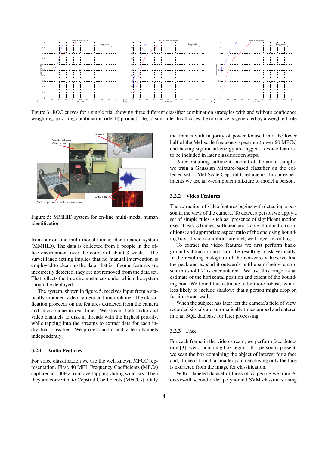

Figure 3: ROC curves for a single trial showing three different classifier combination strategies with and without confidence weighting. a) voting combination rule; b) product rule; c) sum rule. In all cases the top curve is generated by a weighted rule



Figure 5: MMHID system for on-line multi-modal human identification.

from our on-line multi-modal human identification system (MMHID). The data is collected from 6 people in the office environment over the course of about 3 weeks. The surveillance setting implies that no manual intervention is employed to clean up the data, that is, if some features are incorrectly detected, they are not removed from the data set. That reflects the true circumstances under which the system should be deployed.

The system, shown in figure 5, receives input from a statically mounted video camera and microphone. The classification proceeds on the features extracted from the camera and microphone in real time. We stream both audio and video channels to disk in threads with the highest priority, while tapping into the streams to extract data for each individual classifier. We process audio and video channels independently.

#### 3.2.1 Audio Features

For voice classification we use the well known MFCC representation. First, 40 MEL Frequency Coefficients (MFCs) captured at 100Hz from overlapping sliding windows. Then they are converted to Cepstral Coefficients (MFCCs). Only the frames with majority of power focused into the lower half of the Mel-scale frequency spectrum (lower 20 MFCs) and having significant energy are tagged as voice features to be included in later classification steps.

After obtaining sufficient amount of the audio samples we train a Gaussian Mixture-based classifier on the collected set of Mel-Scale Cepstral Coefficients. In our experiments we use an 8-component mixture to model a person.

### 3.2.2 Video Features

The extraction of video features begins with detecting a person in the view of the camera. To detect a person we apply a set of simple rules, such as: presence of significant motion over at least 3 frames; sufficient and stable illumination conditions; and appropriate aspect ratio of the enclosing bounding box. If such conditions are met, we trigger recording.

To extract the video features we first perform background subtraction and sum the resulting mask vertically. In the resulting histogram of the non-zero values we find the peak and expand it outwards until a sum below a chosen threshold  $T$  is encountered. We use this range as an estimate of the horizontal position and extent of the bounding box. We found this estimate to be more robust, as it is less likely to include shadows that a person might drop on furniture and walls.

When the subject has later left the camera's field of view, recorded signals are automatically timestamped and entered into an SQL database for later processing.

#### 3.2.3 Face

For each frame in the video stream, we perform face detection [3] over a bounding box region. If a person is present, we scan the box containing the object of interest for a face and, if one is found, a smaller patch enclosing only the face is extracted from the image for classification.

With a labeled dataset of faces of  $K$  people we train  $K$ one-vs-all second order polynomial SVM classifiers using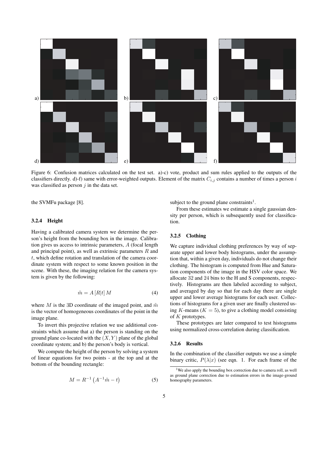

Figure 6: Confusion matrices calculated on the test set. a)-c) vote, product and sum rules applied to the outputs of the classifiers directly. d)-f) same with error-weighted outputs. Element of the matrix  $C_{i,j}$  contains a number of times a person i was classified as person  $j$  in the data set.

the SVMFu package [8].

#### 3.2.4 Height

Having a calibrated camera system we determine the person's height from the bounding box in the image. Calibration gives us access to intrinsic parameters, A (focal length and principal point), as well as extrinsic parameters  $R$  and t, which define rotation and translation of the camera coordinate system with respect to some known position in the scene. With these, the imaging relation for the camera system is given by the following:

$$
\tilde{m} = A \left[ R \middle| t \right] M \tag{4}
$$

where M is the 3D coordinate of the imaged point, and  $\tilde{m}$ is the vector of homogeneous coordinates of the point in the image plane.

To invert this projective relation we use additional constraints which assume that a) the person is standing on the ground plane co-located with the  $(X, Y)$  plane of the global coordinate system; and b) the person's body is vertical.

We compute the height of the person by solving a system of linear equations for two points - at the top and at the bottom of the bounding rectangle:

$$
M = R^{-1} (A^{-1} \tilde{m} - t)
$$
 (5)

subject to the ground plane constraints<sup>1</sup>.

From these estimates we estimate a single gaussian density per person, which is subsequently used for classification.

#### 3.2.5 Clothing

We capture individual clothing preferences by way of separate upper and lower body histograms, under the assumption that, within a given day, individuals do not change their clothing. The histogram is computed from Hue and Saturation components of the image in the HSV color space. We allocate 32 and 24 bins to the H and S components, respectively. Histograms are then labeled according to subject, and averaged by day so that for each day there are single upper and lower average histograms for each user. Collections of histograms for a given user are finally clustered using K-means ( $K = 5$ ), to give a clothing model consisting of  $K$  prototypes.

These prototypes are later compared to test histograms using normalized cross-correlation during classification.

### 3.2.6 Results

In the combination of the classifier outputs we use a simple binary critic,  $P(\lambda|x)$  (see eqn. 1. For each frame of the

<sup>&</sup>lt;sup>1</sup>We also apply the bounding box correction due to camera roll, as well as ground plane correction due to estimation errors in the image-ground homography parameters.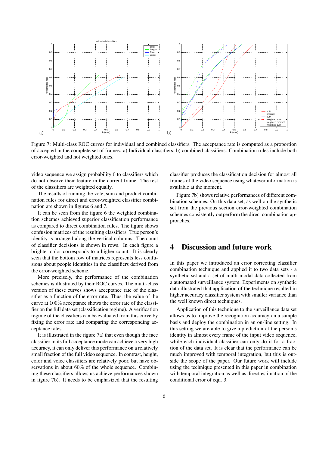

Figure 7: Multi-class ROC curves for individual and combined classifiers. The acceptance rate is computed as a proportion of accepted in the complete set of frames. a) Individual classifiers; b) combined classifiers. Combination rules include both error-weighted and not weighted ones.

video sequence we assign probability 0 to classifiers which do not observe their feature in the current frame. The rest of the classifiers are weighted equally.

The results of running the vote, sum and product combination rules for direct and error-weighted classifier combination are shown in figures 6 and 7.

It can be seen from the figure 6 the weighted combination schemes achieved superior classification performance as compared to direct combination rules. The figure shows confusion matrices of the resulting classifiers. True person's identity is arranged along the vertical columns. The count of classifier decisions is shown in rows. In each figure a brighter color corresponds to a higher count. It is clearly seen that the bottom row of matrices represents less confusions about people identities in the classifiers derived from the error-weighted scheme.

More precisely, the performance of the combination schemes is illustrated by their ROC curves. The multi-class version of these curves shows acceptance rate of the classifier as a function of the error rate. Thus, the value of the curve at 100% acceptance shows the error rate of the classifier on the full data set (classification regime). A verification regime of the classifiers can be evaluated from this curve by fixing the error rate and comparing the corresponding acceptance rates.

It is illustrated in the figure 7a) that even though the face classifier in its full acceptance mode can achieve a very high accuracy, it can only deliver this performance on a relatively small fraction of the full video sequence. In contrast, height, color and voice classifiers are relatively poor, but have observations in about 60% of the whole sequence. Combining these classifiers allows us achieve performances shown in figure 7b). It needs to be emphasized that the resulting classifier produces the classification decision for almost all frames of the video sequence using whatever information is available at the moment.

Figure 7b) shows relative performances of different combination schemes. On this data set, as well on the synthetic set from the previous section error-weighted combination schemes consistently outperform the direct combination approaches.

### 4 Discussion and future work

In this paper we introduced an error correcting classifier combination technique and applied it to two data sets - a synthetic set and a set of multi-modal data collected from a automated surveillance system. Experiments on synthetic data illustrated that application of the technique resulted in higher accuracy classifier system with smaller variance than the well known direct techniques.

Application of this technique to the surveillance data set allows us to improve the recognition accuracy on a sample basis and deploy the combination in an on-line setting. In this setting we are able to give a prediction of the person's identity in almost every frame of the input video sequence, while each individual classifier can only do it for a fraction of the data set. It is clear that the performance can be much improved with temporal integration, but this is outside the scope of the paper. Our future work will include using the technique presented in this paper in combination with temporal integration as well as direct estimation of the conditional error of eqn. 3.